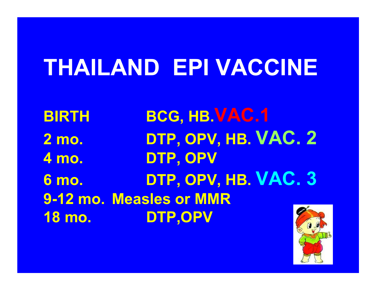# **THAILAND EPI VACCINE**

**BIRTHBCG, HB.VAC.1 2 mo. DTP, OPV, HB. VAC. 2 4 mo. DTP, OPV 6 mo. DTP, OPV, HB. VAC. 3 9-12 mo. Measles or MMR18 mo. DTP,OPV**

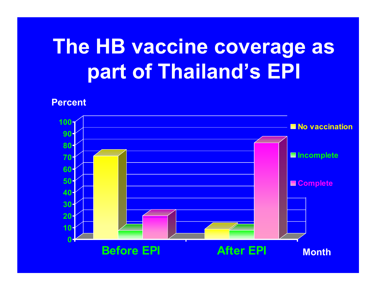# **The HB vaccine coverage as part of Thailand's EPI The HB vaccine coverage as part of Thailand's EPI**

**Percent Percent**

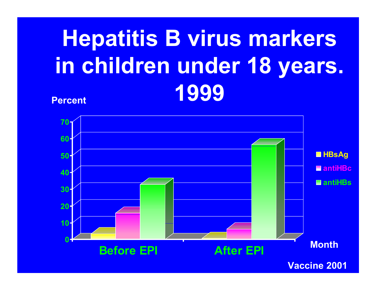## **Percent PercentHepatitis B virus markers in children under 18 years. 1999**

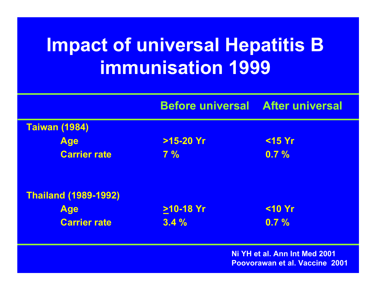## **Impact of universal Hepatitis B immunisation 1999**

|                             | <b>Before universal After universal</b> |           |
|-----------------------------|-----------------------------------------|-----------|
| <b>Taiwan (1984)</b>        |                                         |           |
| <b>Age</b>                  | $>15-20$ Yr                             | $<$ 15 Yr |
| <b>Carrier rate</b>         | $7\%$                                   | $0.7 \%$  |
| <b>Thailand (1989-1992)</b> |                                         |           |
| <b>Age</b>                  | $>10-18$ Yr                             | $<$ 10 Yr |
| <b>Carrier rate</b>         | 3.4%                                    | 0.7%      |

**Ni YH et al. Ann Int Med 2001Poovorawan et al. Vaccine 2001**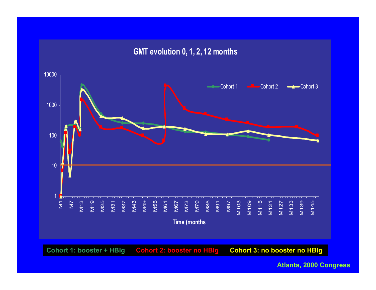

**Cohort 1: booster + HBIg Cohort 2: booster no HBIg Cohort 3: no booster no HBIg**

**Atlanta, 2000 Congress**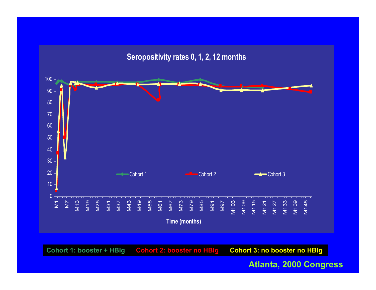### **Seropositivity rates 0, 1, 2, 12 months**



**Cohort 1: booster + HBIg Cohort 2: booster no HBIg Cohort 3: no booster no HBIg**

#### **Atlanta, 2000 Congress**